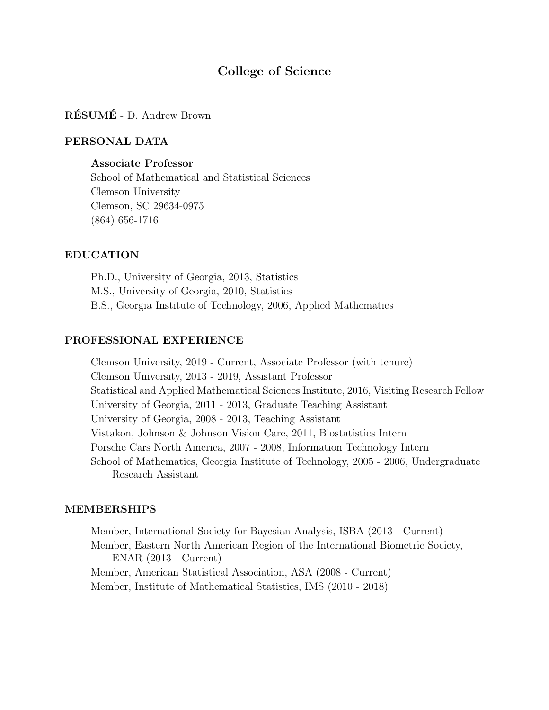# College of Science

# RÉSUMÉ - D. Andrew Brown

### PERSONAL DATA

### Associate Professor

School of Mathematical and Statistical Sciences Clemson University Clemson, SC 29634-0975 (864) 656-1716

#### EDUCATION

Ph.D., University of Georgia, 2013, Statistics M.S., University of Georgia, 2010, Statistics B.S., Georgia Institute of Technology, 2006, Applied Mathematics

### PROFESSIONAL EXPERIENCE

Clemson University, 2019 - Current, Associate Professor (with tenure) Clemson University, 2013 - 2019, Assistant Professor Statistical and Applied Mathematical Sciences Institute, 2016, Visiting Research Fellow University of Georgia, 2011 - 2013, Graduate Teaching Assistant University of Georgia, 2008 - 2013, Teaching Assistant Vistakon, Johnson & Johnson Vision Care, 2011, Biostatistics Intern Porsche Cars North America, 2007 - 2008, Information Technology Intern School of Mathematics, Georgia Institute of Technology, 2005 - 2006, Undergraduate Research Assistant

### MEMBERSHIPS

Member, International Society for Bayesian Analysis, ISBA (2013 - Current) Member, Eastern North American Region of the International Biometric Society, ENAR (2013 - Current) Member, American Statistical Association, ASA (2008 - Current) Member, Institute of Mathematical Statistics, IMS (2010 - 2018)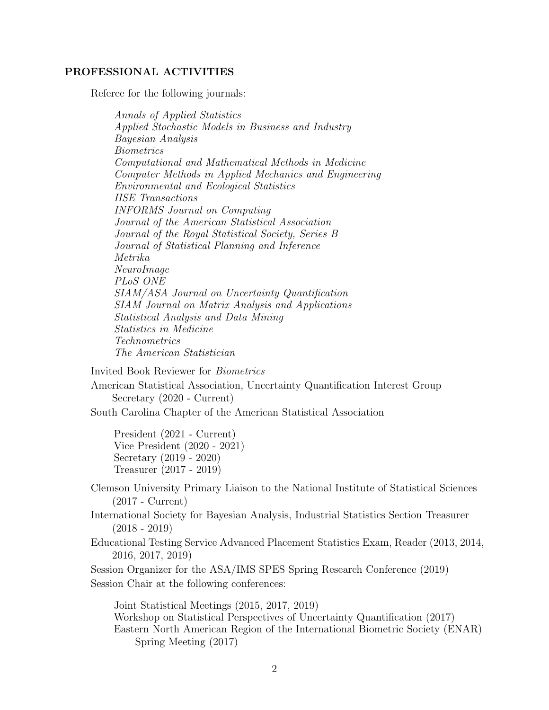### PROFESSIONAL ACTIVITIES

Referee for the following journals:

Annals of Applied Statistics Applied Stochastic Models in Business and Industry Bayesian Analysis Biometrics Computational and Mathematical Methods in Medicine Computer Methods in Applied Mechanics and Engineering Environmental and Ecological Statistics IISE Transactions INFORMS Journal on Computing Journal of the American Statistical Association Journal of the Royal Statistical Society, Series B Journal of Statistical Planning and Inference Metrika NeuroImage PLoS ONE SIAM/ASA Journal on Uncertainty Quantification SIAM Journal on Matrix Analysis and Applications Statistical Analysis and Data Mining Statistics in Medicine Technometrics The American Statistician

Invited Book Reviewer for Biometrics

American Statistical Association, Uncertainty Quantification Interest Group Secretary (2020 - Current)

South Carolina Chapter of the American Statistical Association

President (2021 - Current) Vice President (2020 - 2021) Secretary (2019 - 2020) Treasurer (2017 - 2019)

- Clemson University Primary Liaison to the National Institute of Statistical Sciences (2017 - Current)
- International Society for Bayesian Analysis, Industrial Statistics Section Treasurer  $(2018 - 2019)$
- Educational Testing Service Advanced Placement Statistics Exam, Reader (2013, 2014, 2016, 2017, 2019)

Session Organizer for the ASA/IMS SPES Spring Research Conference (2019) Session Chair at the following conferences:

Joint Statistical Meetings (2015, 2017, 2019) Workshop on Statistical Perspectives of Uncertainty Quantification (2017) Eastern North American Region of the International Biometric Society (ENAR) Spring Meeting (2017)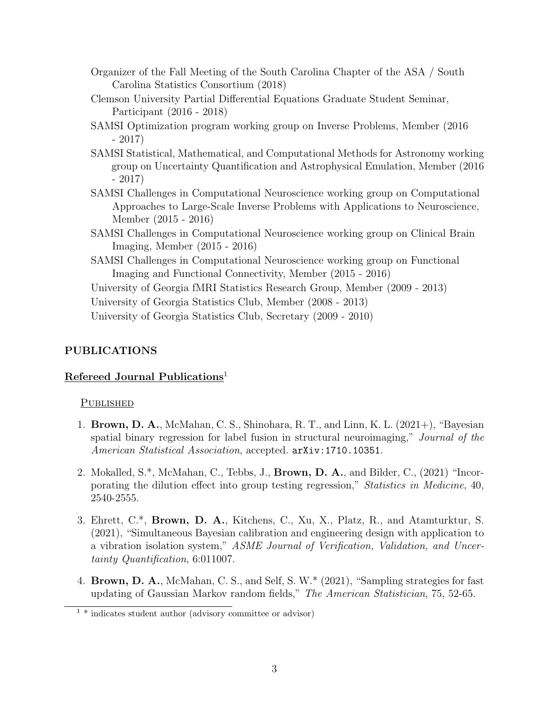- Organizer of the Fall Meeting of the South Carolina Chapter of the ASA / South Carolina Statistics Consortium (2018)
- Clemson University Partial Differential Equations Graduate Student Seminar, Participant (2016 - 2018)
- SAMSI Optimization program working group on Inverse Problems, Member (2016 - 2017)
- SAMSI Statistical, Mathematical, and Computational Methods for Astronomy working group on Uncertainty Quantification and Astrophysical Emulation, Member (2016 - 2017)
- SAMSI Challenges in Computational Neuroscience working group on Computational Approaches to Large-Scale Inverse Problems with Applications to Neuroscience, Member (2015 - 2016)
- SAMSI Challenges in Computational Neuroscience working group on Clinical Brain Imaging, Member (2015 - 2016)
- SAMSI Challenges in Computational Neuroscience working group on Functional Imaging and Functional Connectivity, Member (2015 - 2016)

University of Georgia fMRI Statistics Research Group, Member (2009 - 2013)

University of Georgia Statistics Club, Member (2008 - 2013)

University of Georgia Statistics Club, Secretary (2009 - 2010)

# PUBLICATIONS

# Refereed Journal Publications<sup>1</sup>

# PUBLISHED

- 1. Brown, D. A., McMahan, C. S., Shinohara, R. T., and Linn, K. L. (2021+), "Bayesian spatial binary regression for label fusion in structural neuroimaging," Journal of the American Statistical Association, accepted.  $arXiv:1710.10351$ .
- 2. Mokalled, S.\*, McMahan, C., Tebbs, J., Brown, D. A., and Bilder, C., (2021) "Incorporating the dilution effect into group testing regression," Statistics in Medicine, 40, 2540-2555.
- 3. Ehrett, C.\*, Brown, D. A., Kitchens, C., Xu, X., Platz, R., and Atamturktur, S. (2021), "Simultaneous Bayesian calibration and engineering design with application to a vibration isolation system," ASME Journal of Verification, Validation, and Uncertainty Quantification, 6:011007.
- 4. Brown, D. A., McMahan, C. S., and Self, S. W.\* (2021), "Sampling strategies for fast updating of Gaussian Markov random fields," The American Statistician, 75, 52-65.

 $1 *$  indicates student author (advisory committee or advisor)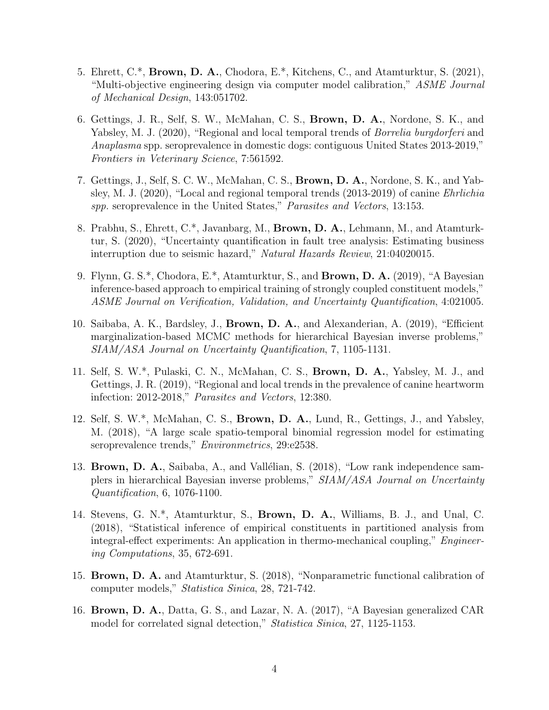- 5. Ehrett, C.\*, Brown, D. A., Chodora, E.\*, Kitchens, C., and Atamturktur, S. (2021), "Multi-objective engineering design via computer model calibration," ASME Journal of Mechanical Design, 143:051702.
- 6. Gettings, J. R., Self, S. W., McMahan, C. S., Brown, D. A., Nordone, S. K., and Yabsley, M. J. (2020), "Regional and local temporal trends of *Borrelia burgdorferi* and Anaplasma spp. seroprevalence in domestic dogs: contiguous United States 2013-2019," Frontiers in Veterinary Science, 7:561592.
- 7. Gettings, J., Self, S. C. W., McMahan, C. S., Brown, D. A., Nordone, S. K., and Yabsley, M. J. (2020), "Local and regional temporal trends (2013-2019) of canine Ehrlichia spp. seroprevalence in the United States," Parasites and Vectors, 13:153.
- 8. Prabhu, S., Ehrett, C.\*, Javanbarg, M., Brown, D. A., Lehmann, M., and Atamturktur, S. (2020), "Uncertainty quantification in fault tree analysis: Estimating business interruption due to seismic hazard," Natural Hazards Review, 21:04020015.
- 9. Flynn, G. S.\*, Chodora, E.\*, Atamturktur, S., and Brown, D. A. (2019), "A Bayesian inference-based approach to empirical training of strongly coupled constituent models," ASME Journal on Verification, Validation, and Uncertainty Quantification, 4:021005.
- 10. Saibaba, A. K., Bardsley, J., Brown, D. A., and Alexanderian, A. (2019), "Efficient marginalization-based MCMC methods for hierarchical Bayesian inverse problems," SIAM/ASA Journal on Uncertainty Quantification, 7, 1105-1131.
- 11. Self, S. W.\*, Pulaski, C. N., McMahan, C. S., Brown, D. A., Yabsley, M. J., and Gettings, J. R. (2019), "Regional and local trends in the prevalence of canine heartworm infection: 2012-2018," Parasites and Vectors, 12:380.
- 12. Self, S. W.\*, McMahan, C. S., Brown, D. A., Lund, R., Gettings, J., and Yabsley, M. (2018), "A large scale spatio-temporal binomial regression model for estimating seroprevalence trends," *Environmetrics*, 29:e2538.
- 13. Brown, D. A., Saibaba, A., and Vallélian, S. (2018), "Low rank independence samplers in hierarchical Bayesian inverse problems," SIAM/ASA Journal on Uncertainty Quantification, 6, 1076-1100.
- 14. Stevens, G. N.\*, Atamturktur, S., Brown, D. A., Williams, B. J., and Unal, C. (2018), "Statistical inference of empirical constituents in partitioned analysis from integral-effect experiments: An application in thermo-mechanical coupling," Engineering Computations, 35, 672-691.
- 15. Brown, D. A. and Atamturktur, S. (2018), "Nonparametric functional calibration of computer models," Statistica Sinica, 28, 721-742.
- 16. Brown, D. A., Datta, G. S., and Lazar, N. A. (2017), "A Bayesian generalized CAR model for correlated signal detection," Statistica Sinica, 27, 1125-1153.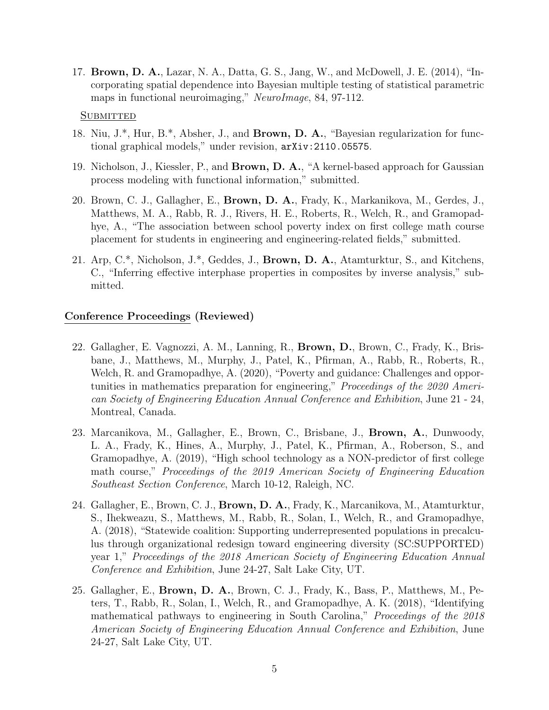17. Brown, D. A., Lazar, N. A., Datta, G. S., Jang, W., and McDowell, J. E. (2014), "Incorporating spatial dependence into Bayesian multiple testing of statistical parametric maps in functional neuroimaging," NeuroImage, 84, 97-112.

#### **SUBMITTED**

- 18. Niu, J.\*, Hur, B.\*, Absher, J., and Brown, D. A., "Bayesian regularization for functional graphical models," under revision, arXiv:2110.05575.
- 19. Nicholson, J., Kiessler, P., and Brown, D. A., "A kernel-based approach for Gaussian process modeling with functional information," submitted.
- 20. Brown, C. J., Gallagher, E., Brown, D. A., Frady, K., Markanikova, M., Gerdes, J., Matthews, M. A., Rabb, R. J., Rivers, H. E., Roberts, R., Welch, R., and Gramopadhye, A., "The association between school poverty index on first college math course placement for students in engineering and engineering-related fields," submitted.
- 21. Arp, C.\*, Nicholson, J.\*, Geddes, J., Brown, D. A., Atamturktur, S., and Kitchens, C., "Inferring effective interphase properties in composites by inverse analysis," submitted.

#### Conference Proceedings (Reviewed)

- 22. Gallagher, E. Vagnozzi, A. M., Lanning, R., Brown, D., Brown, C., Frady, K., Brisbane, J., Matthews, M., Murphy, J., Patel, K., Pfirman, A., Rabb, R., Roberts, R., Welch, R. and Gramopadhye, A. (2020), "Poverty and guidance: Challenges and opportunities in mathematics preparation for engineering," Proceedings of the 2020 American Society of Engineering Education Annual Conference and Exhibition, June 21 - 24, Montreal, Canada.
- 23. Marcanikova, M., Gallagher, E., Brown, C., Brisbane, J., Brown, A., Dunwoody, L. A., Frady, K., Hines, A., Murphy, J., Patel, K., Pfirman, A., Roberson, S., and Gramopadhye, A. (2019), "High school technology as a NON-predictor of first college math course," Proceedings of the 2019 American Society of Engineering Education Southeast Section Conference, March 10-12, Raleigh, NC.
- 24. Gallagher, E., Brown, C. J., Brown, D. A., Frady, K., Marcanikova, M., Atamturktur, S., Ihekweazu, S., Matthews, M., Rabb, R., Solan, I., Welch, R., and Gramopadhye, A. (2018), "Statewide coalition: Supporting underrepresented populations in precalculus through organizational redesign toward engineering diversity (SC:SUPPORTED) year 1," Proceedings of the 2018 American Society of Engineering Education Annual Conference and Exhibition, June 24-27, Salt Lake City, UT.
- 25. Gallagher, E., Brown, D. A., Brown, C. J., Frady, K., Bass, P., Matthews, M., Peters, T., Rabb, R., Solan, I., Welch, R., and Gramopadhye, A. K. (2018), "Identifying mathematical pathways to engineering in South Carolina," Proceedings of the 2018 American Society of Engineering Education Annual Conference and Exhibition, June 24-27, Salt Lake City, UT.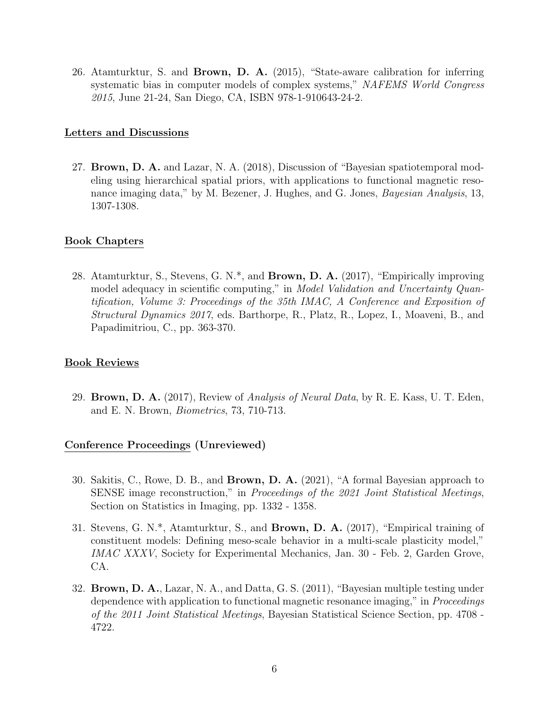26. Atamturktur, S. and Brown, D. A. (2015), "State-aware calibration for inferring systematic bias in computer models of complex systems," NAFEMS World Congress 2015, June 21-24, San Diego, CA, ISBN 978-1-910643-24-2.

### Letters and Discussions

27. Brown, D. A. and Lazar, N. A. (2018), Discussion of "Bayesian spatiotemporal modeling using hierarchical spatial priors, with applications to functional magnetic resonance imaging data," by M. Bezener, J. Hughes, and G. Jones, Bayesian Analysis, 13, 1307-1308.

# Book Chapters

28. Atamturktur, S., Stevens, G. N.\*, and Brown, D. A. (2017), "Empirically improving model adequacy in scientific computing," in Model Validation and Uncertainty Quantification, Volume 3: Proceedings of the 35th IMAC, A Conference and Exposition of Structural Dynamics 2017, eds. Barthorpe, R., Platz, R., Lopez, I., Moaveni, B., and Papadimitriou, C., pp. 363-370.

# Book Reviews

29. Brown, D. A.  $(2017)$ , Review of *Analysis of Neural Data*, by R. E. Kass, U. T. Eden, and E. N. Brown, Biometrics, 73, 710-713.

# Conference Proceedings (Unreviewed)

- 30. Sakitis, C., Rowe, D. B., and Brown, D. A. (2021), "A formal Bayesian approach to SENSE image reconstruction," in Proceedings of the 2021 Joint Statistical Meetings, Section on Statistics in Imaging, pp. 1332 - 1358.
- 31. Stevens, G. N.\*, Atamturktur, S., and Brown, D. A. (2017), "Empirical training of constituent models: Defining meso-scale behavior in a multi-scale plasticity model," IMAC XXXV, Society for Experimental Mechanics, Jan. 30 - Feb. 2, Garden Grove, CA.
- 32. Brown, D. A., Lazar, N. A., and Datta, G. S. (2011), "Bayesian multiple testing under dependence with application to functional magnetic resonance imaging," in Proceedings of the 2011 Joint Statistical Meetings, Bayesian Statistical Science Section, pp. 4708 - 4722.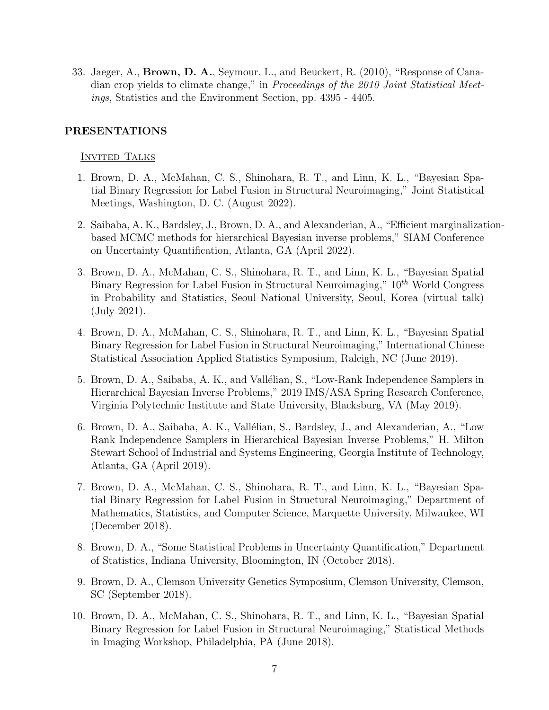33. Jaeger, A., Brown, D. A., Seymour, L., and Beuckert, R. (2010), "Response of Canadian crop yields to climate change," in Proceedings of the 2010 Joint Statistical Meetings, Statistics and the Environment Section, pp. 4395 - 4405.

### PRESENTATIONS

### **INVITED TALKS**

- 1. Brown, D. A., McMahan, C. S., Shinohara, R. T., and Linn, K. L., "Bayesian Spatial Binary Regression for Label Fusion in Structural Neuroimaging," Joint Statistical Meetings, Washington, D. C. (August 2022).
- 2. Saibaba, A. K., Bardsley, J., Brown, D. A., and Alexanderian, A., "Efficient marginalizationbased MCMC methods for hierarchical Bayesian inverse problems," SIAM Conference on Uncertainty Quantification, Atlanta, GA (April 2022).
- 3. Brown, D. A., McMahan, C. S., Shinohara, R. T., and Linn, K. L., "Bayesian Spatial Binary Regression for Label Fusion in Structural Neuroimaging,"  $10^{th}$  World Congress in Probability and Statistics, Seoul National University, Seoul, Korea (virtual talk) (July 2021).
- 4. Brown, D. A., McMahan, C. S., Shinohara, R. T., and Linn, K. L., "Bayesian Spatial Binary Regression for Label Fusion in Structural Neuroimaging," International Chinese Statistical Association Applied Statistics Symposium, Raleigh, NC (June 2019).
- 5. Brown, D. A., Saibaba, A. K., and Vallélian, S., "Low-Rank Independence Samplers in Hierarchical Bayesian Inverse Problems," 2019 IMS/ASA Spring Research Conference, Virginia Polytechnic Institute and State University, Blacksburg, VA (May 2019).
- 6. Brown, D. A., Saibaba, A. K., Vallélian, S., Bardsley, J., and Alexanderian, A., "Low Rank Independence Samplers in Hierarchical Bayesian Inverse Problems," H. Milton Stewart School of Industrial and Systems Engineering, Georgia Institute of Technology, Atlanta, GA (April 2019).
- 7. Brown, D. A., McMahan, C. S., Shinohara, R. T., and Linn, K. L., "Bayesian Spatial Binary Regression for Label Fusion in Structural Neuroimaging," Department of Mathematics, Statistics, and Computer Science, Marquette University, Milwaukee, WI (December 2018).
- 8. Brown, D. A., "Some Statistical Problems in Uncertainty Quantification," Department of Statistics, Indiana University, Bloomington, IN (October 2018).
- 9. Brown, D. A., Clemson University Genetics Symposium, Clemson University, Clemson, SC (September 2018).
- 10. Brown, D. A., McMahan, C. S., Shinohara, R. T., and Linn, K. L., "Bayesian Spatial Binary Regression for Label Fusion in Structural Neuroimaging," Statistical Methods in Imaging Workshop, Philadelphia, PA (June 2018).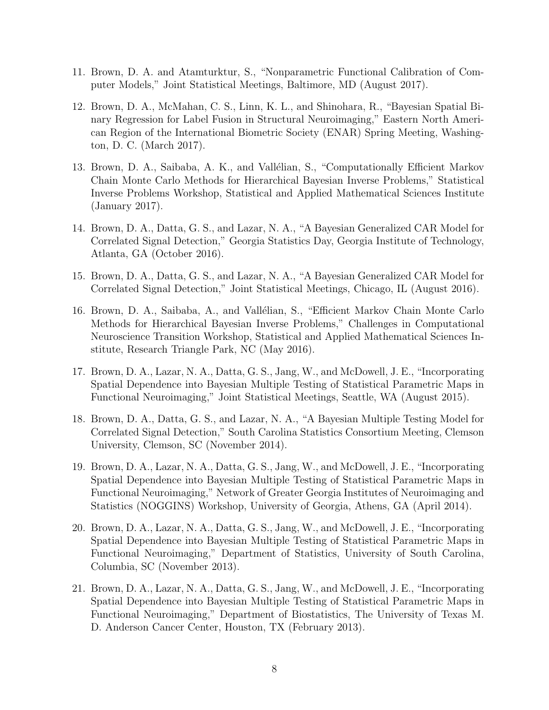- 11. Brown, D. A. and Atamturktur, S., "Nonparametric Functional Calibration of Computer Models," Joint Statistical Meetings, Baltimore, MD (August 2017).
- 12. Brown, D. A., McMahan, C. S., Linn, K. L., and Shinohara, R., "Bayesian Spatial Binary Regression for Label Fusion in Structural Neuroimaging," Eastern North American Region of the International Biometric Society (ENAR) Spring Meeting, Washington, D. C. (March 2017).
- 13. Brown, D. A., Saibaba, A. K., and Vallélian, S., "Computationally Efficient Markov Chain Monte Carlo Methods for Hierarchical Bayesian Inverse Problems," Statistical Inverse Problems Workshop, Statistical and Applied Mathematical Sciences Institute (January 2017).
- 14. Brown, D. A., Datta, G. S., and Lazar, N. A., "A Bayesian Generalized CAR Model for Correlated Signal Detection," Georgia Statistics Day, Georgia Institute of Technology, Atlanta, GA (October 2016).
- 15. Brown, D. A., Datta, G. S., and Lazar, N. A., "A Bayesian Generalized CAR Model for Correlated Signal Detection," Joint Statistical Meetings, Chicago, IL (August 2016).
- 16. Brown, D. A., Saibaba, A., and Vallélian, S., "Efficient Markov Chain Monte Carlo Methods for Hierarchical Bayesian Inverse Problems," Challenges in Computational Neuroscience Transition Workshop, Statistical and Applied Mathematical Sciences Institute, Research Triangle Park, NC (May 2016).
- 17. Brown, D. A., Lazar, N. A., Datta, G. S., Jang, W., and McDowell, J. E., "Incorporating Spatial Dependence into Bayesian Multiple Testing of Statistical Parametric Maps in Functional Neuroimaging," Joint Statistical Meetings, Seattle, WA (August 2015).
- 18. Brown, D. A., Datta, G. S., and Lazar, N. A., "A Bayesian Multiple Testing Model for Correlated Signal Detection," South Carolina Statistics Consortium Meeting, Clemson University, Clemson, SC (November 2014).
- 19. Brown, D. A., Lazar, N. A., Datta, G. S., Jang, W., and McDowell, J. E., "Incorporating Spatial Dependence into Bayesian Multiple Testing of Statistical Parametric Maps in Functional Neuroimaging," Network of Greater Georgia Institutes of Neuroimaging and Statistics (NOGGINS) Workshop, University of Georgia, Athens, GA (April 2014).
- 20. Brown, D. A., Lazar, N. A., Datta, G. S., Jang, W., and McDowell, J. E., "Incorporating Spatial Dependence into Bayesian Multiple Testing of Statistical Parametric Maps in Functional Neuroimaging," Department of Statistics, University of South Carolina, Columbia, SC (November 2013).
- 21. Brown, D. A., Lazar, N. A., Datta, G. S., Jang, W., and McDowell, J. E., "Incorporating Spatial Dependence into Bayesian Multiple Testing of Statistical Parametric Maps in Functional Neuroimaging," Department of Biostatistics, The University of Texas M. D. Anderson Cancer Center, Houston, TX (February 2013).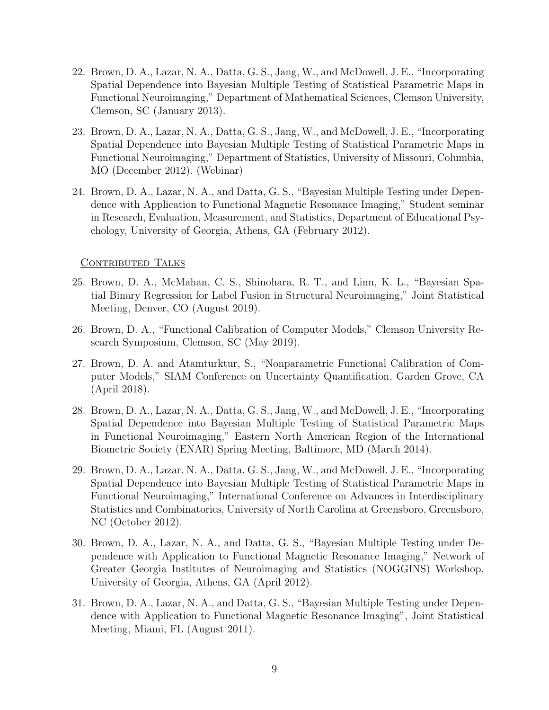- 22. Brown, D. A., Lazar, N. A., Datta, G. S., Jang, W., and McDowell, J. E., "Incorporating Spatial Dependence into Bayesian Multiple Testing of Statistical Parametric Maps in Functional Neuroimaging," Department of Mathematical Sciences, Clemson University, Clemson, SC (January 2013).
- 23. Brown, D. A., Lazar, N. A., Datta, G. S., Jang, W., and McDowell, J. E., "Incorporating Spatial Dependence into Bayesian Multiple Testing of Statistical Parametric Maps in Functional Neuroimaging," Department of Statistics, University of Missouri, Columbia, MO (December 2012). (Webinar)
- 24. Brown, D. A., Lazar, N. A., and Datta, G. S., "Bayesian Multiple Testing under Dependence with Application to Functional Magnetic Resonance Imaging," Student seminar in Research, Evaluation, Measurement, and Statistics, Department of Educational Psychology, University of Georgia, Athens, GA (February 2012).

### CONTRIBUTED TALKS

- 25. Brown, D. A., McMahan, C. S., Shinohara, R. T., and Linn, K. L., "Bayesian Spatial Binary Regression for Label Fusion in Structural Neuroimaging," Joint Statistical Meeting, Denver, CO (August 2019).
- 26. Brown, D. A., "Functional Calibration of Computer Models," Clemson University Research Symposium, Clemson, SC (May 2019).
- 27. Brown, D. A. and Atamturktur, S., "Nonparametric Functional Calibration of Computer Models," SIAM Conference on Uncertainty Quantification, Garden Grove, CA (April 2018).
- 28. Brown, D. A., Lazar, N. A., Datta, G. S., Jang, W., and McDowell, J. E., "Incorporating Spatial Dependence into Bayesian Multiple Testing of Statistical Parametric Maps in Functional Neuroimaging," Eastern North American Region of the International Biometric Society (ENAR) Spring Meeting, Baltimore, MD (March 2014).
- 29. Brown, D. A., Lazar, N. A., Datta, G. S., Jang, W., and McDowell, J. E., "Incorporating Spatial Dependence into Bayesian Multiple Testing of Statistical Parametric Maps in Functional Neuroimaging," International Conference on Advances in Interdisciplinary Statistics and Combinatorics, University of North Carolina at Greensboro, Greensboro, NC (October 2012).
- 30. Brown, D. A., Lazar, N. A., and Datta, G. S., "Bayesian Multiple Testing under Dependence with Application to Functional Magnetic Resonance Imaging," Network of Greater Georgia Institutes of Neuroimaging and Statistics (NOGGINS) Workshop, University of Georgia, Athens, GA (April 2012).
- 31. Brown, D. A., Lazar, N. A., and Datta, G. S., "Bayesian Multiple Testing under Dependence with Application to Functional Magnetic Resonance Imaging", Joint Statistical Meeting, Miami, FL (August 2011).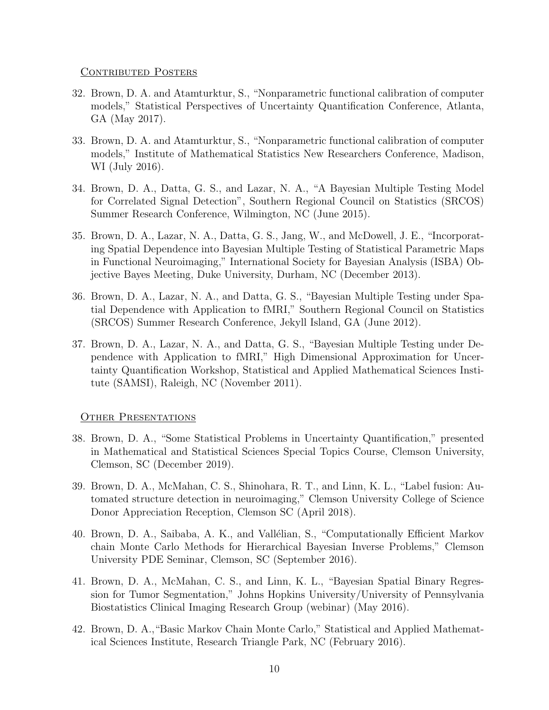### CONTRIBUTED POSTERS

- 32. Brown, D. A. and Atamturktur, S., "Nonparametric functional calibration of computer models," Statistical Perspectives of Uncertainty Quantification Conference, Atlanta, GA (May 2017).
- 33. Brown, D. A. and Atamturktur, S., "Nonparametric functional calibration of computer models," Institute of Mathematical Statistics New Researchers Conference, Madison, WI (July 2016).
- 34. Brown, D. A., Datta, G. S., and Lazar, N. A., "A Bayesian Multiple Testing Model for Correlated Signal Detection", Southern Regional Council on Statistics (SRCOS) Summer Research Conference, Wilmington, NC (June 2015).
- 35. Brown, D. A., Lazar, N. A., Datta, G. S., Jang, W., and McDowell, J. E., "Incorporating Spatial Dependence into Bayesian Multiple Testing of Statistical Parametric Maps in Functional Neuroimaging," International Society for Bayesian Analysis (ISBA) Objective Bayes Meeting, Duke University, Durham, NC (December 2013).
- 36. Brown, D. A., Lazar, N. A., and Datta, G. S., "Bayesian Multiple Testing under Spatial Dependence with Application to fMRI," Southern Regional Council on Statistics (SRCOS) Summer Research Conference, Jekyll Island, GA (June 2012).
- 37. Brown, D. A., Lazar, N. A., and Datta, G. S., "Bayesian Multiple Testing under Dependence with Application to fMRI," High Dimensional Approximation for Uncertainty Quantification Workshop, Statistical and Applied Mathematical Sciences Institute (SAMSI), Raleigh, NC (November 2011).

### OTHER PRESENTATIONS

- 38. Brown, D. A., "Some Statistical Problems in Uncertainty Quantification," presented in Mathematical and Statistical Sciences Special Topics Course, Clemson University, Clemson, SC (December 2019).
- 39. Brown, D. A., McMahan, C. S., Shinohara, R. T., and Linn, K. L., "Label fusion: Automated structure detection in neuroimaging," Clemson University College of Science Donor Appreciation Reception, Clemson SC (April 2018).
- 40. Brown, D. A., Saibaba, A. K., and Vall´elian, S., "Computationally Efficient Markov chain Monte Carlo Methods for Hierarchical Bayesian Inverse Problems," Clemson University PDE Seminar, Clemson, SC (September 2016).
- 41. Brown, D. A., McMahan, C. S., and Linn, K. L., "Bayesian Spatial Binary Regression for Tumor Segmentation," Johns Hopkins University/University of Pennsylvania Biostatistics Clinical Imaging Research Group (webinar) (May 2016).
- 42. Brown, D. A.,"Basic Markov Chain Monte Carlo," Statistical and Applied Mathematical Sciences Institute, Research Triangle Park, NC (February 2016).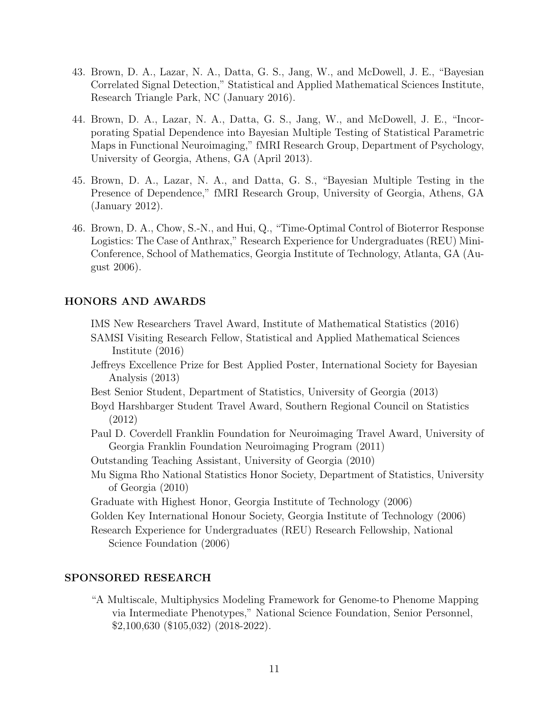- 43. Brown, D. A., Lazar, N. A., Datta, G. S., Jang, W., and McDowell, J. E., "Bayesian Correlated Signal Detection," Statistical and Applied Mathematical Sciences Institute, Research Triangle Park, NC (January 2016).
- 44. Brown, D. A., Lazar, N. A., Datta, G. S., Jang, W., and McDowell, J. E., "Incorporating Spatial Dependence into Bayesian Multiple Testing of Statistical Parametric Maps in Functional Neuroimaging," fMRI Research Group, Department of Psychology, University of Georgia, Athens, GA (April 2013).
- 45. Brown, D. A., Lazar, N. A., and Datta, G. S., "Bayesian Multiple Testing in the Presence of Dependence," fMRI Research Group, University of Georgia, Athens, GA (January 2012).
- 46. Brown, D. A., Chow, S.-N., and Hui, Q., "Time-Optimal Control of Bioterror Response Logistics: The Case of Anthrax," Research Experience for Undergraduates (REU) Mini-Conference, School of Mathematics, Georgia Institute of Technology, Atlanta, GA (August 2006).

# HONORS AND AWARDS

IMS New Researchers Travel Award, Institute of Mathematical Statistics (2016)

- SAMSI Visiting Research Fellow, Statistical and Applied Mathematical Sciences Institute (2016)
- Jeffreys Excellence Prize for Best Applied Poster, International Society for Bayesian Analysis (2013)
- Best Senior Student, Department of Statistics, University of Georgia (2013)
- Boyd Harshbarger Student Travel Award, Southern Regional Council on Statistics (2012)
- Paul D. Coverdell Franklin Foundation for Neuroimaging Travel Award, University of Georgia Franklin Foundation Neuroimaging Program (2011)
- Outstanding Teaching Assistant, University of Georgia (2010)
- Mu Sigma Rho National Statistics Honor Society, Department of Statistics, University of Georgia (2010)
- Graduate with Highest Honor, Georgia Institute of Technology (2006)
- Golden Key International Honour Society, Georgia Institute of Technology (2006)
- Research Experience for Undergraduates (REU) Research Fellowship, National Science Foundation (2006)

### SPONSORED RESEARCH

"A Multiscale, Multiphysics Modeling Framework for Genome-to Phenome Mapping via Intermediate Phenotypes," National Science Foundation, Senior Personnel, \$2,100,630 (\$105,032) (2018-2022).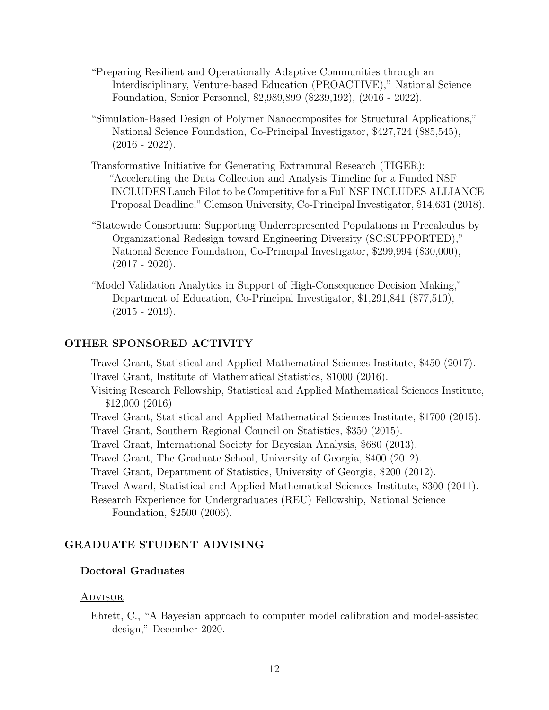- "Preparing Resilient and Operationally Adaptive Communities through an Interdisciplinary, Venture-based Education (PROACTIVE)," National Science Foundation, Senior Personnel, \$2,989,899 (\$239,192), (2016 - 2022).
- "Simulation-Based Design of Polymer Nanocomposites for Structural Applications," National Science Foundation, Co-Principal Investigator, \$427,724 (\$85,545),  $(2016 - 2022)$ .
- Transformative Initiative for Generating Extramural Research (TIGER): "Accelerating the Data Collection and Analysis Timeline for a Funded NSF INCLUDES Lauch Pilot to be Competitive for a Full NSF INCLUDES ALLIANCE Proposal Deadline," Clemson University, Co-Principal Investigator, \$14,631 (2018).
- "Statewide Consortium: Supporting Underrepresented Populations in Precalculus by Organizational Redesign toward Engineering Diversity (SC:SUPPORTED)," National Science Foundation, Co-Principal Investigator, \$299,994 (\$30,000),  $(2017 - 2020)$ .
- "Model Validation Analytics in Support of High-Consequence Decision Making," Department of Education, Co-Principal Investigator, \$1,291,841 (\$77,510),  $(2015 - 2019).$

### OTHER SPONSORED ACTIVITY

Travel Grant, Statistical and Applied Mathematical Sciences Institute, \$450 (2017). Travel Grant, Institute of Mathematical Statistics, \$1000 (2016).

Visiting Research Fellowship, Statistical and Applied Mathematical Sciences Institute, \$12,000 (2016)

- Travel Grant, Statistical and Applied Mathematical Sciences Institute, \$1700 (2015).
- Travel Grant, Southern Regional Council on Statistics, \$350 (2015).
- Travel Grant, International Society for Bayesian Analysis, \$680 (2013).
- Travel Grant, The Graduate School, University of Georgia, \$400 (2012).
- Travel Grant, Department of Statistics, University of Georgia, \$200 (2012).

Travel Award, Statistical and Applied Mathematical Sciences Institute, \$300 (2011).

Research Experience for Undergraduates (REU) Fellowship, National Science Foundation, \$2500 (2006).

### GRADUATE STUDENT ADVISING

#### Doctoral Graduates

#### <u>Advisor</u>

Ehrett, C., "A Bayesian approach to computer model calibration and model-assisted design," December 2020.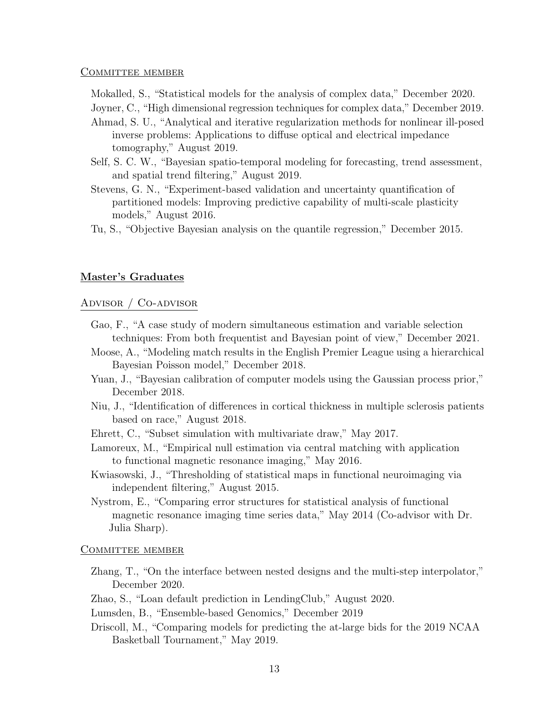#### COMMITTEE MEMBER

Mokalled, S., "Statistical models for the analysis of complex data," December 2020.

Joyner, C., "High dimensional regression techniques for complex data," December 2019.

- Ahmad, S. U., "Analytical and iterative regularization methods for nonlinear ill-posed inverse problems: Applications to diffuse optical and electrical impedance tomography," August 2019.
- Self, S. C. W., "Bayesian spatio-temporal modeling for forecasting, trend assessment, and spatial trend filtering," August 2019.
- Stevens, G. N., "Experiment-based validation and uncertainty quantification of partitioned models: Improving predictive capability of multi-scale plasticity models," August 2016.
- Tu, S., "Objective Bayesian analysis on the quantile regression," December 2015.

### Master's Graduates

### Advisor / Co-advisor

- Gao, F., "A case study of modern simultaneous estimation and variable selection techniques: From both frequentist and Bayesian point of view," December 2021.
- Moose, A., "Modeling match results in the English Premier League using a hierarchical Bayesian Poisson model," December 2018.
- Yuan, J., "Bayesian calibration of computer models using the Gaussian process prior," December 2018.
- Niu, J., "Identification of differences in cortical thickness in multiple sclerosis patients based on race," August 2018.
- Ehrett, C., "Subset simulation with multivariate draw," May 2017.
- Lamoreux, M., "Empirical null estimation via central matching with application to functional magnetic resonance imaging," May 2016.
- Kwiasowski, J., "Thresholding of statistical maps in functional neuroimaging via independent filtering," August 2015.
- Nystrom, E., "Comparing error structures for statistical analysis of functional magnetic resonance imaging time series data," May 2014 (Co-advisor with Dr. Julia Sharp).

#### COMMITTEE MEMBER

- Zhang, T., "On the interface between nested designs and the multi-step interpolator," December 2020.
- Zhao, S., "Loan default prediction in LendingClub," August 2020.
- Lumsden, B., "Ensemble-based Genomics," December 2019
- Driscoll, M., "Comparing models for predicting the at-large bids for the 2019 NCAA Basketball Tournament," May 2019.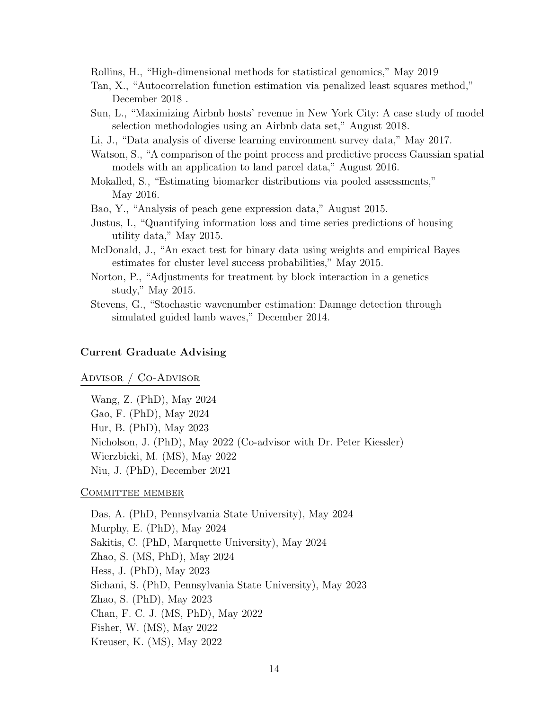Rollins, H., "High-dimensional methods for statistical genomics," May 2019

- Tan, X., "Autocorrelation function estimation via penalized least squares method," December 2018 .
- Sun, L., "Maximizing Airbnb hosts' revenue in New York City: A case study of model selection methodologies using an Airbnb data set," August 2018.
- Li, J., "Data analysis of diverse learning environment survey data," May 2017.
- Watson, S., "A comparison of the point process and predictive process Gaussian spatial models with an application to land parcel data," August 2016.
- Mokalled, S., "Estimating biomarker distributions via pooled assessments," May 2016.
- Bao, Y., "Analysis of peach gene expression data," August 2015.
- Justus, I., "Quantifying information loss and time series predictions of housing utility data," May 2015.
- McDonald, J., "An exact test for binary data using weights and empirical Bayes estimates for cluster level success probabilities," May 2015.
- Norton, P., "Adjustments for treatment by block interaction in a genetics study," May 2015.
- Stevens, G., "Stochastic wavenumber estimation: Damage detection through simulated guided lamb waves," December 2014.

#### Current Graduate Advising

#### Advisor / Co-Advisor

Wang, Z. (PhD), May 2024 Gao, F. (PhD), May 2024 Hur, B. (PhD), May 2023 Nicholson, J. (PhD), May 2022 (Co-advisor with Dr. Peter Kiessler) Wierzbicki, M. (MS), May 2022 Niu, J. (PhD), December 2021

#### COMMITTEE MEMBER

Das, A. (PhD, Pennsylvania State University), May 2024 Murphy, E. (PhD), May 2024 Sakitis, C. (PhD, Marquette University), May 2024 Zhao, S. (MS, PhD), May 2024 Hess, J. (PhD), May 2023 Sichani, S. (PhD, Pennsylvania State University), May 2023 Zhao, S. (PhD), May 2023 Chan, F. C. J. (MS, PhD), May 2022 Fisher, W. (MS), May 2022 Kreuser, K. (MS), May 2022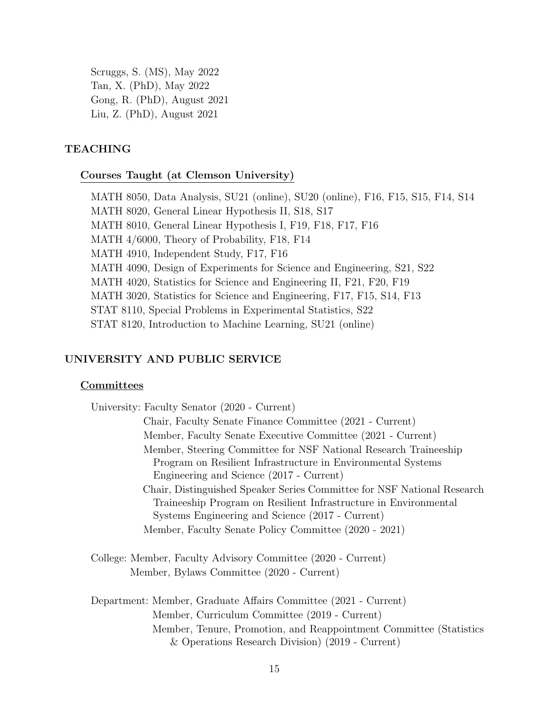Scruggs, S. (MS), May 2022 Tan, X. (PhD), May 2022 Gong, R. (PhD), August 2021 Liu, Z. (PhD), August 2021

### TEACHING

### Courses Taught (at Clemson University)

MATH 8050, Data Analysis, SU21 (online), SU20 (online), F16, F15, S15, F14, S14 MATH 8020, General Linear Hypothesis II, S18, S17 MATH 8010, General Linear Hypothesis I, F19, F18, F17, F16 MATH 4/6000, Theory of Probability, F18, F14 MATH 4910, Independent Study, F17, F16 MATH 4090, Design of Experiments for Science and Engineering, S21, S22 MATH 4020, Statistics for Science and Engineering II, F21, F20, F19 MATH 3020, Statistics for Science and Engineering, F17, F15, S14, F13 STAT 8110, Special Problems in Experimental Statistics, S22 STAT 8120, Introduction to Machine Learning, SU21 (online)

# UNIVERSITY AND PUBLIC SERVICE

#### **Committees**

| University: Faculty Senator (2020 - Current)                            |
|-------------------------------------------------------------------------|
| Chair, Faculty Senate Finance Committee (2021 - Current)                |
| Member, Faculty Senate Executive Committee (2021 - Current)             |
| Member, Steering Committee for NSF National Research Traineeship        |
| Program on Resilient Infrastructure in Environmental Systems            |
| Engineering and Science (2017 - Current)                                |
| Chair, Distinguished Speaker Series Committee for NSF National Research |
| Traineeship Program on Resilient Infrastructure in Environmental        |
| Systems Engineering and Science (2017 - Current)                        |
| Member, Faculty Senate Policy Committee (2020 - 2021)                   |
| College: Member, Faculty Advisory Committee (2020 - Current)            |
| Member, Bylaws Committee (2020 - Current)                               |
| Department: Member, Graduate Affairs Committee (2021 - Current)         |
| Member, Curriculum Committee (2019 - Current)                           |

Member, Tenure, Promotion, and Reappointment Committee (Statistics & Operations Research Division) (2019 - Current)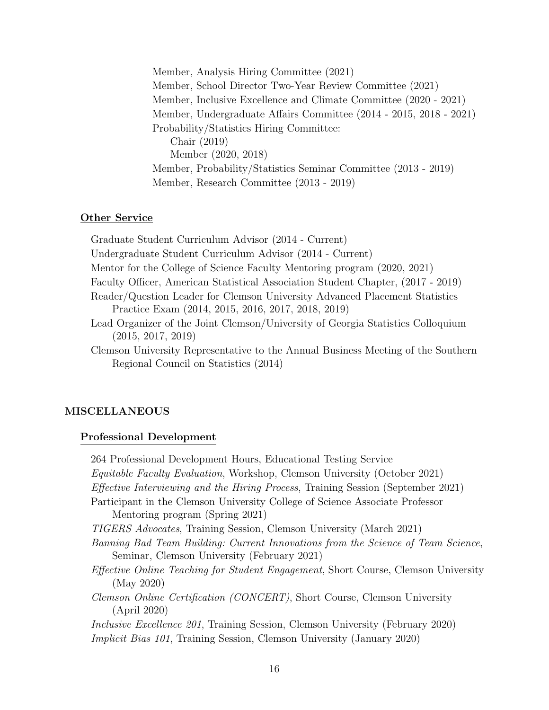Member, Analysis Hiring Committee (2021) Member, School Director Two-Year Review Committee (2021) Member, Inclusive Excellence and Climate Committee (2020 - 2021) Member, Undergraduate Affairs Committee (2014 - 2015, 2018 - 2021) Probability/Statistics Hiring Committee: Chair (2019) Member (2020, 2018) Member, Probability/Statistics Seminar Committee (2013 - 2019) Member, Research Committee (2013 - 2019)

### Other Service

Graduate Student Curriculum Advisor (2014 - Current) Undergraduate Student Curriculum Advisor (2014 - Current) Mentor for the College of Science Faculty Mentoring program (2020, 2021) Faculty Officer, American Statistical Association Student Chapter, (2017 - 2019) Reader/Question Leader for Clemson University Advanced Placement Statistics Practice Exam (2014, 2015, 2016, 2017, 2018, 2019) Lead Organizer of the Joint Clemson/University of Georgia Statistics Colloquium (2015, 2017, 2019)

Clemson University Representative to the Annual Business Meeting of the Southern Regional Council on Statistics (2014)

### MISCELLANEOUS

#### Professional Development

264 Professional Development Hours, Educational Testing Service Equitable Faculty Evaluation, Workshop, Clemson University (October 2021) Effective Interviewing and the Hiring Process, Training Session (September 2021) Participant in the Clemson University College of Science Associate Professor Mentoring program (Spring 2021) TIGERS Advocates, Training Session, Clemson University (March 2021) Banning Bad Team Building: Current Innovations from the Science of Team Science, Seminar, Clemson University (February 2021) Effective Online Teaching for Student Engagement, Short Course, Clemson University (May 2020) Clemson Online Certification (CONCERT), Short Course, Clemson University (April 2020) Inclusive Excellence 201, Training Session, Clemson University (February 2020) Implicit Bias 101, Training Session, Clemson University (January 2020)